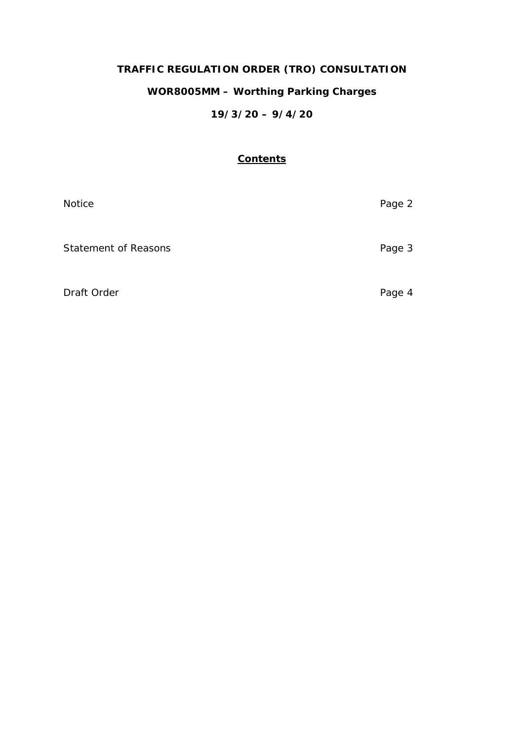# **TRAFFIC REGULATION ORDER (TRO) CONSULTATION**

# **WOR8005MM – Worthing Parking Charges**

# **19/3/20 – 9/4/20**

# **Contents**

| Notice                      | Page 2 |
|-----------------------------|--------|
| <b>Statement of Reasons</b> | Page 3 |
| Draft Order                 | Page 4 |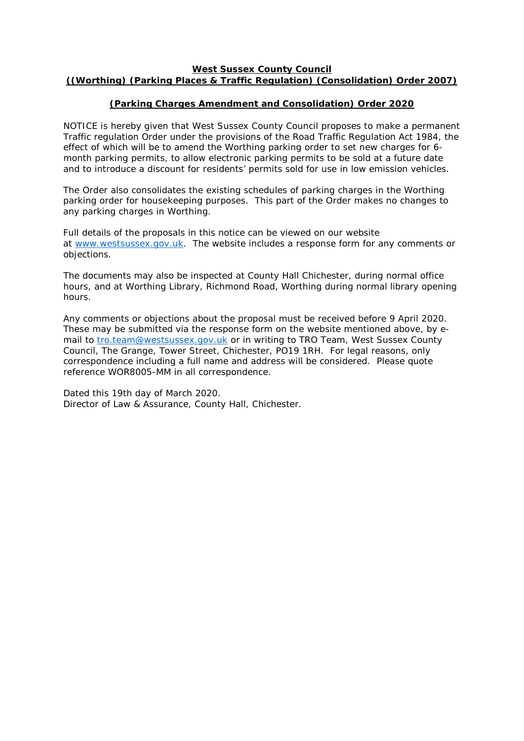#### **West Sussex County Council ((Worthing) (Parking Places & Traffic Regulation) (Consolidation) Order 2007)**

## **(Parking Charges Amendment and Consolidation) Order 2020**

NOTICE is hereby given that West Sussex County Council proposes to make a permanent Traffic regulation Order under the provisions of the Road Traffic Regulation Act 1984, the effect of which will be to amend the Worthing parking order to set new charges for 6 month parking permits, to allow electronic parking permits to be sold at a future date and to introduce a discount for residents' permits sold for use in low emission vehicles.

The Order also consolidates the existing schedules of parking charges in the Worthing parking order for housekeeping purposes. This part of the Order makes no changes to any parking charges in Worthing.

Full details of the proposals in this notice can be viewed on our website at [www.westsussex.gov.uk.](http://www.westsussex.gov.uk/) The website includes a response form for any comments or objections.

The documents may also be inspected at County Hall Chichester, during normal office hours, and at Worthing Library, Richmond Road, Worthing during normal library opening hours.

Any comments or objections about the proposal must be received before 9 April 2020. These may be submitted via the response form on the website mentioned above, by email to [tro.team@westsussex.gov.uk](mailto:tro.team@westsussex.gov.uk) or in writing to TRO Team, West Sussex County Council, The Grange, Tower Street, Chichester, PO19 1RH. For legal reasons, only correspondence including a full name and address will be considered. Please quote reference WOR8005-MM in all correspondence.

Dated this 19th day of March 2020. Director of Law & Assurance, County Hall, Chichester.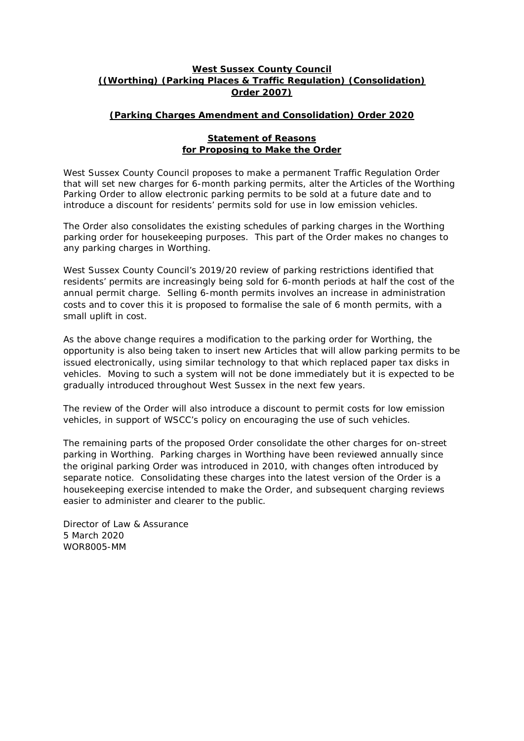## **West Sussex County Council ((Worthing) (Parking Places & Traffic Regulation) (Consolidation) Order 2007)**

## **(Parking Charges Amendment and Consolidation) Order 2020**

#### **Statement of Reasons for Proposing to Make the Order**

West Sussex County Council proposes to make a permanent Traffic Regulation Order that will set new charges for 6-month parking permits, alter the Articles of the Worthing Parking Order to allow electronic parking permits to be sold at a future date and to introduce a discount for residents' permits sold for use in low emission vehicles.

The Order also consolidates the existing schedules of parking charges in the Worthing parking order for housekeeping purposes. This part of the Order makes no changes to any parking charges in Worthing.

West Sussex County Council's 2019/20 review of parking restrictions identified that residents' permits are increasingly being sold for 6-month periods at half the cost of the annual permit charge. Selling 6-month permits involves an increase in administration costs and to cover this it is proposed to formalise the sale of 6 month permits, with a small uplift in cost.

As the above change requires a modification to the parking order for Worthing, the opportunity is also being taken to insert new Articles that will allow parking permits to be issued electronically, using similar technology to that which replaced paper tax disks in vehicles. Moving to such a system will not be done immediately but it is expected to be gradually introduced throughout West Sussex in the next few years.

The review of the Order will also introduce a discount to permit costs for low emission vehicles, in support of WSCC's policy on encouraging the use of such vehicles.

The remaining parts of the proposed Order consolidate the other charges for on-street parking in Worthing. Parking charges in Worthing have been reviewed annually since the original parking Order was introduced in 2010, with changes often introduced by separate notice. Consolidating these charges into the latest version of the Order is a housekeeping exercise intended to make the Order, and subsequent charging reviews easier to administer and clearer to the public.

Director of Law & Assurance 5 March 2020 WOR8005-MM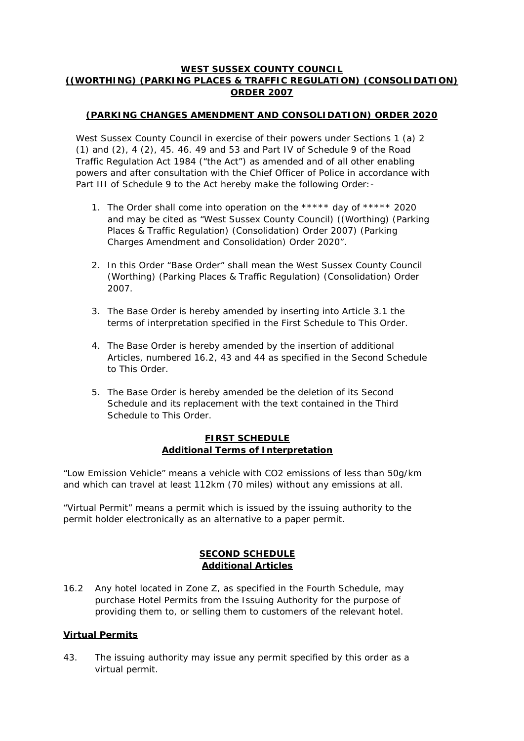## **WEST SUSSEX COUNTY COUNCIL ((WORTHING) (PARKING PLACES & TRAFFIC REGULATION) (CONSOLIDATION) ORDER 2007**

# **(PARKING CHANGES AMENDMENT AND CONSOLIDATION) ORDER 2020**

West Sussex County Council in exercise of their powers under Sections 1 (a) 2 (1) and (2), 4 (2), 45. 46. 49 and 53 and Part IV of Schedule 9 of the Road Traffic Regulation Act 1984 ("the Act") as amended and of all other enabling powers and after consultation with the Chief Officer of Police in accordance with Part III of Schedule 9 to the Act hereby make the following Order: -

- 1. The Order shall come into operation on the \*\*\*\*\* day of \*\*\*\*\* 2020 and may be cited as "West Sussex County Council) ((Worthing) (Parking Places & Traffic Regulation) (Consolidation) Order 2007) (Parking Charges Amendment and Consolidation) Order 2020".
- 2. In this Order "Base Order" shall mean the West Sussex County Council (Worthing) (Parking Places & Traffic Regulation) (Consolidation) Order 2007.
- 3. The Base Order is hereby amended by inserting into Article 3.1 the terms of interpretation specified in the First Schedule to This Order.
- 4. The Base Order is hereby amended by the insertion of additional Articles, numbered 16.2, 43 and 44 as specified in the Second Schedule to This Order.
- 5. The Base Order is hereby amended be the deletion of its Second Schedule and its replacement with the text contained in the Third Schedule to This Order.

## **FIRST SCHEDULE Additional Terms of Interpretation**

"Low Emission Vehicle" means a vehicle with CO2 emissions of less than 50g/km and which can travel at least 112km (70 miles) without any emissions at all.

"Virtual Permit" means a permit which is issued by the issuing authority to the permit holder electronically as an alternative to a paper permit.

# **SECOND SCHEDULE Additional Articles**

16.2 Any hotel located in Zone Z, as specified in the Fourth Schedule, may purchase Hotel Permits from the Issuing Authority for the purpose of providing them to, or selling them to customers of the relevant hotel.

#### **Virtual Permits**

43. The issuing authority may issue any permit specified by this order as a virtual permit.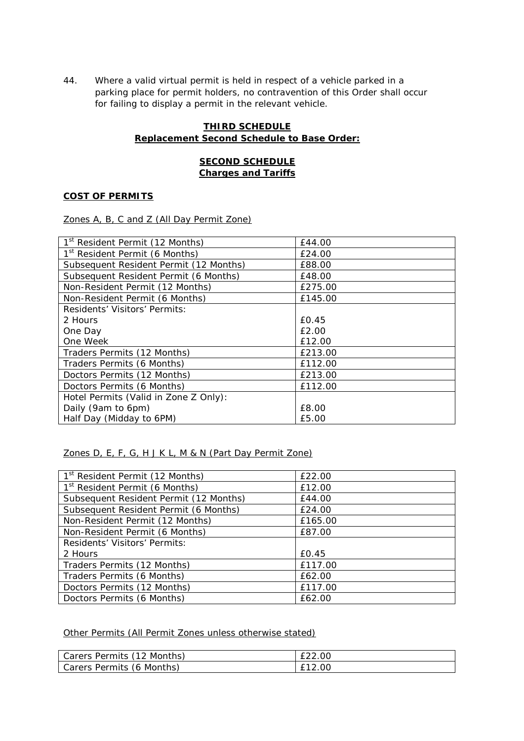44. Where a valid virtual permit is held in respect of a vehicle parked in a parking place for permit holders, no contravention of this Order shall occur for failing to display a permit in the relevant vehicle.

### **THIRD SCHEDULE Replacement Second Schedule to Base Order:**

# **SECOND SCHEDULE Charges and Tariffs**

## **COST OF PERMITS**

Zones A, B, C and Z (All Day Permit Zone)

| 1 <sup>st</sup> Resident Permit (12 Months) | £44.00  |
|---------------------------------------------|---------|
| 1 <sup>st</sup> Resident Permit (6 Months)  | £24.00  |
| Subsequent Resident Permit (12 Months)      | £88.00  |
| Subsequent Resident Permit (6 Months)       | £48.00  |
| Non-Resident Permit (12 Months)             | £275.00 |
| Non-Resident Permit (6 Months)              | £145.00 |
| Residents' Visitors' Permits:               |         |
| 2 Hours                                     | £0.45   |
| One Day                                     | £2.00   |
| One Week                                    | £12.00  |
| Traders Permits (12 Months)                 | £213.00 |
| Traders Permits (6 Months)                  | £112.00 |
| Doctors Permits (12 Months)                 | £213.00 |
| Doctors Permits (6 Months)                  | £112.00 |
| Hotel Permits (Valid in Zone Z Only):       |         |
| Daily (9am to 6pm)                          | £8.00   |
| Half Day (Midday to 6PM)                    | £5.00   |

# Zones D, E, F, G, H J K L, M & N (Part Day Permit Zone)

| 1 <sup>st</sup> Resident Permit (12 Months) | £22.00  |
|---------------------------------------------|---------|
| 1 <sup>st</sup> Resident Permit (6 Months)  | £12.00  |
| Subsequent Resident Permit (12 Months)      | £44.00  |
| Subsequent Resident Permit (6 Months)       | £24.00  |
| Non-Resident Permit (12 Months)             | £165.00 |
| Non-Resident Permit (6 Months)              | £87.00  |
| Residents' Visitors' Permits:               |         |
| 2 Hours                                     | £0.45   |
| Traders Permits (12 Months)                 | £117.00 |
| Traders Permits (6 Months)                  | £62.00  |
| Doctors Permits (12 Months)                 | £117.00 |
| Doctors Permits (6 Months)                  | £62.00  |

# Other Permits (All Permit Zones unless otherwise stated)

| Carers Permits (12 Months) |        |
|----------------------------|--------|
| Carers Permits (6 Months)  | £12.00 |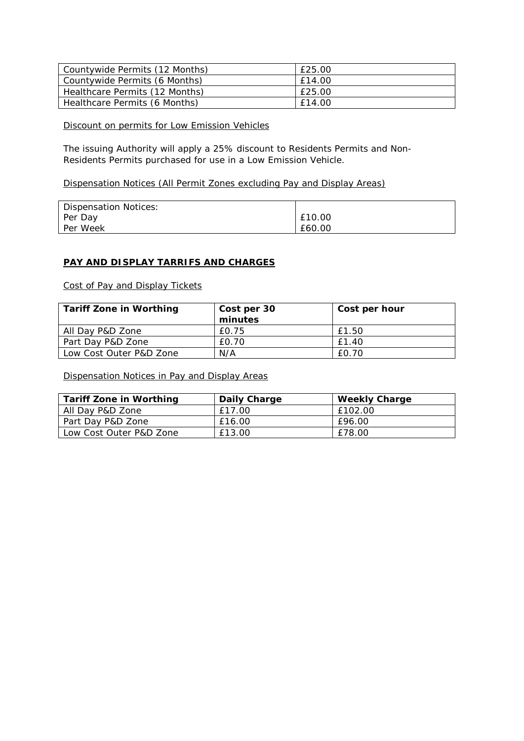| Countywide Permits (12 Months) | £25.00 |
|--------------------------------|--------|
| Countywide Permits (6 Months)  | £14.00 |
| Healthcare Permits (12 Months) | £25.00 |
| Healthcare Permits (6 Months)  | £14.00 |

#### Discount on permits for Low Emission Vehicles

The issuing Authority will apply a 25% discount to Residents Permits and Non-Residents Permits purchased for use in a Low Emission Vehicle.

## Dispensation Notices (All Permit Zones excluding Pay and Display Areas)

| Dispensation Notices: |        |
|-----------------------|--------|
| Per Day               | £10.00 |
| Per Week              | £60.00 |

#### **PAY AND DISPLAY TARRIFS AND CHARGES**

Cost of Pay and Display Tickets

| <b>Tariff Zone in Worthing</b> | Cost per 30 | Cost per hour |
|--------------------------------|-------------|---------------|
|                                | minutes     |               |
| All Day P&D Zone               | £0.75       | £1.50         |
| Part Day P&D Zone              | £0.70       | £1.40         |
| Low Cost Outer P&D Zone        | N/A         | £0.70         |

Dispensation Notices in Pay and Display Areas

| <b>Tariff Zone in Worthing</b> | Daily Charge | <b>Weekly Charge</b> |
|--------------------------------|--------------|----------------------|
| All Day P&D Zone               | £17.00       | £102.00              |
| Part Day P&D Zone              | £16.00       | £96.00               |
| Low Cost Outer P&D Zone        | £13.00       | £78.00               |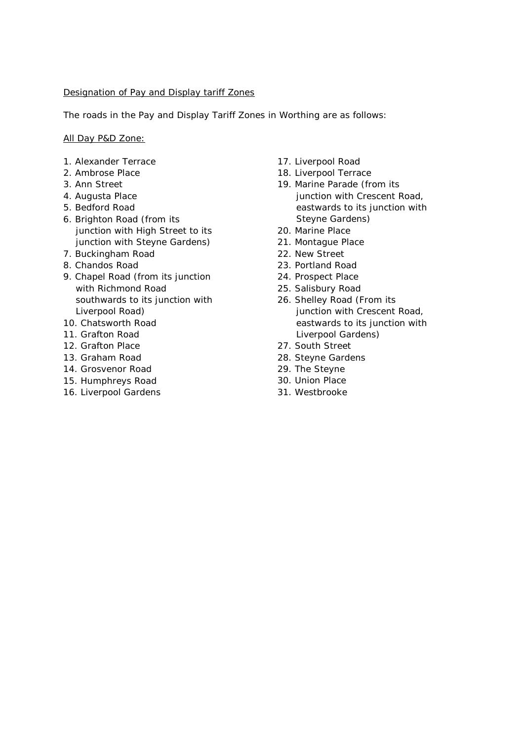#### Designation of Pay and Display tariff Zones

The roads in the Pay and Display Tariff Zones in Worthing are as follows:

All Day P&D Zone:

- 1. Alexander Terrace
- 2. Ambrose Place
- 3. Ann Street
- 4. Augusta Place
- 5. Bedford Road
- 6. Brighton Road (from its junction with High Street to its junction with Steyne Gardens)
- 7. Buckingham Road
- 8. Chandos Road
- 9. Chapel Road (from its junction with Richmond Road southwards to its junction with Liverpool Road)
- 10. Chatsworth Road
- 11. Grafton Road
- 12. Grafton Place
- 13. Graham Road
- 14. Grosvenor Road
- 15. Humphreys Road
- 16. Liverpool Gardens
- 17. Liverpool Road
- 18. Liverpool Terrace
- 19. Marine Parade (from its junction with Crescent Road, eastwards to its junction with Steyne Gardens)
- 20. Marine Place
- 21. Montague Place
- 22. New Street
- 23. Portland Road
- 24. Prospect Place
- 25. Salisbury Road
- 26. Shelley Road (From its junction with Crescent Road, eastwards to its junction with Liverpool Gardens)
- 27. South Street
- 28. Steyne Gardens
- 29. The Steyne
- 30. Union Place
- 31. Westbrooke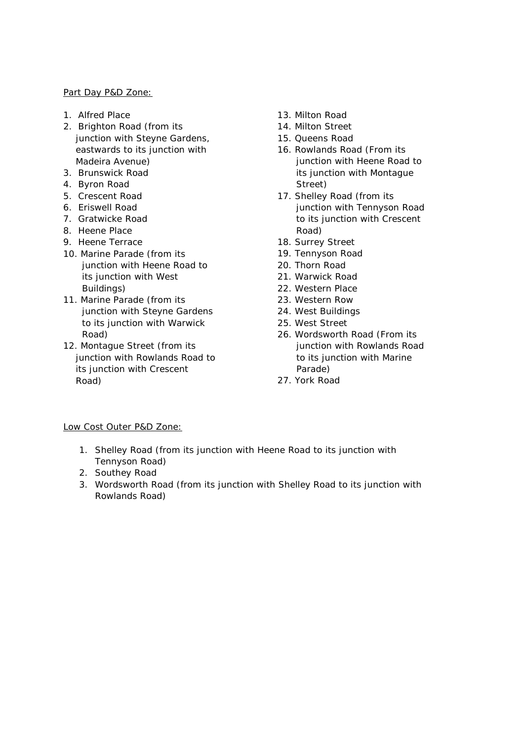#### Part Day P&D Zone:

- 1. Alfred Place
- 2. Brighton Road (from its junction with Steyne Gardens, eastwards to its junction with Madeira Avenue)
- 3. Brunswick Road
- 4. Byron Road
- 5. Crescent Road
- 6. Eriswell Road
- 7. Gratwicke Road
- 8. Heene Place
- 9. Heene Terrace
- 10. Marine Parade (from its junction with Heene Road to its junction with West Buildings)
- 11. Marine Parade (from its junction with Steyne Gardens to its junction with Warwick Road)
- 12. Montague Street (from its junction with Rowlands Road to its junction with Crescent Road)
- 13. Milton Road
- 14. Milton Street
- 15. Queens Road
- 16. Rowlands Road (From its junction with Heene Road to its junction with Montague Street)
- 17. Shelley Road (from its junction with Tennyson Road to its junction with Crescent Road)
- 18. Surrey Street
- 19. Tennyson Road
- 20. Thorn Road
- 21. Warwick Road
- 22. Western Place
- 23. Western Row
- 24. West Buildings
- 25. West Street
- 26. Wordsworth Road (From its junction with Rowlands Road to its junction with Marine Parade)
- 27. York Road

#### Low Cost Outer P&D Zone:

- 1. Shelley Road (from its junction with Heene Road to its junction with Tennyson Road)
- 2. Southey Road
- 3. Wordsworth Road (from its junction with Shelley Road to its junction with Rowlands Road)